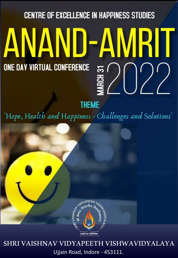# **CENTRE OF EXCELLENCE IN HAPPINESS STUDIES** ANAND-AMRIT ONE DAY VIRTUAL CONFERENCE <u>ಜ (</u>

**THEME** 

'Hope, Health and Happiness - Challenges and Solutions'



# Ujjain Road, Indore - 453111. SHRI VAISHNAV VIDYAPEETH VISHWAVIDYALAYA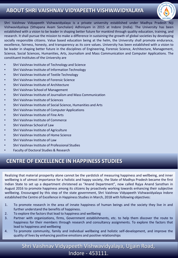### **ABOUT SHRI VAISHNAV VIDYAPEETH VISHWAVIDYALAYA**



Shri Vaishnav Vidyapeeth Vishwavidyalaya is a private university established under Madhya Pradesh Niji Vishwavidyalaya (Sthapana Avam Sanchalan) Adhiniyam in 2015 at Indore (India). The University has been established with a vision to be leader in shaping better future for mankind through quality education, training, and research. It shall pursue the mission to make a difference in sustaining the growth of global societies by developing socially responsible citizens. Value based education being at the helm, the University shall promote endurance, excellence, fairness, honesty, and transparency as its core values. University has been established with a vision to be leader in shaping better future in the disciplines of Engineering, Forensic Science, Architecture, Management, Science, Social Sciences, Humanities, Arts, Journalism and Mass Communication and Computer Applications. The constituent Institutes of the University are

- Shri Vaishnav Institute of Technology and Science
- Shri Vaishnav Institute of Information Technology
- Shri Vaishnav Institute of Textile Technology
- Shri Vaishnav Institute of Forensic Science
- Shri Vaishnav Institute of Architecture
- Shri Vaishnav School of Management
- Shri Vaishnav Institute of Journalism and Mass Communication
- Shri Vaishnav Institute of Sciences
- Shri Vaishnav Institute of Social Science, Humanities and Arts
- Shri Vaishnav Institute of Computer Applications
- Shri Vaishnav Institute of Fine Arts
- Shri Vaishnav Institute of Commerce
- Shri Vaishnav School of Law
- Shri Vaishnav Institute of Agriculture
- Shri Vaishnav Institute of Home Science
- Shri Vaishnav Institute of Law
- Shri Vaishnav Institute of Professional Studies
- Faculty of Doctoral Studies & Research

### **CENTRE OF EXCELLENCE IN HAPPINESS STUDIES**

Realizing that material prosperity alone cannot be the yardstick of measuring happiness and wellbeing, and inner wellbeing is of utmost importance for a holistic and happy society, the State of Madhya Pradesh became the first Indian State to set up a department christened as "Anand Department", now called Rajya Anand Sansthan in August 2016 to promote happiness among its citizens by proactively working towards enhancing their subjective wellbeing. Encouraged by this step of the state government, Shri Vaishnav Vidyapeeth Vishwavidyalaya Indore established the Centre of Excellence in Happiness Studies in March, 2018 with following objectives:

- 1. To promote research in the area of innate happiness of human beings and the society they live in and further understand the benefits of happiness.
- 2. To explore the factors that lead to happiness and wellbeing
- 3. Partner with organizations, firms, Government establishments, etc. to help them discover the route to happiness for their members through research and consultancy assignments. To explore the factors that lead to happiness and wellbeing
- 4. To promote community, family and individual wellbeing and holistic self-development, and improve the quality of lives by enhancing positive emotions and positive relationships

Shri Vaishnav Vidyapeeth Vishwavidyalaya, Ujjain Road, Indore - 453111.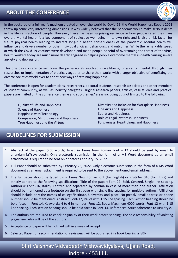### **ABOUT THE CONFERENCE**



In the backdrop of a full year's mayhem created all over the world by Covid-19, the World Happiness Report 2021 threw up some very interesting dimensions. It was widely believed that the pandemic would make serious dents in the life satisfaction of people. However, there has been surprising resilience in how people rated their lives overall. Mental health is a key component of subjective well-being in its own right and is also a risk factor for future physical health leading to indirect long-run health consequences of the pandemic. Mental health will influence and drive a number of other individual choices, behaviours, and outcomes. While the remarkable speed at which the Covid-19 vaccines were developed and made people hopeful of overcoming the threat of the virus, health workers today are much more deeply engaged in helping people overcome mental ill-health causing severe anxiety and depression.

This one day conference will bring the professionals involved in well-being, physical or mental, through their researches or implementation of practices together to share their works with a larger objective of benefitting the diverse societies world over to adopt new ways of attaining happiness.

The conference is open for academicians, researchers, doctoral students, research associates and other members of student community, as well as industry delegates. Original research papers, articles, case studies and practical papers are invited on the conference theme and sub-themes/ areas including but not limited to the following:

Quality of Life and Happiness Science of Happiness Happiness with Technology Compassion, Mindfulness and Happiness True Happiness and the Virtues

Diversity and Inclusion for Workplace Happiness Fine Arts and Happiness Sports and Happiness Role of Legal System in Happiness Forgiveness, Heartfulness and Happiness

### **GUIDELINES FOR SUBMISSION**

- 1. Abstract of the paper (250 words) typed in Times New Roman Font 12 should be sent by email to anandamrit@svvv.edu.in. Only electronic submission in the form of a MS Word document as an email attachment is required to be sent on or before February 15, 2022.
- 2. Full Paper should be submitted by February 28, 2022. Only electronic submission in the form of a MS Word document as an email attachment is required to be sent to the above mentioned email address.
- 3. The full paper should be typed using Times New Roman font (for English) or KrutiDev 010 (for Hindi) and strictly adhere to the following specifications: Title of the paper: Font-22, Bold, Centred, Single line spacing. Author(s): Font -16, Italics, Centred and separated by comma in case of more than one author. Affiliation should be mentioned as a footnote on the first page with single line spacing for multiple authors. Affiliation should include only the names of college/institute, University and place. No postal/ email address or phone number should be mentioned. Abstract: Font-12, Italics with 1.15 line spacing. Each Section heading should be bold-faced in Font-14. Keywords: 4 to 6 in number. Font-12. Body: Maximum 4000 words. Font-12 with 1.15 line spacing. Each section heading should be bold-faced in Font-14. References: Strict adherence to APA Style.
- 4. The authors are required to check originality of their work before sending. The sole responsibility of violating plagiarism rules will be of the authors.
- 5. Acceptance of paper will be notified within a week of receipt.
- 6. Selected Paper, on recommendation of reviewers, will be published in a book bearing a ISBN.

### Shri Vaishnav Vidyapeeth Vishwavidyalaya, Ujjain Road, Indore - 453111.